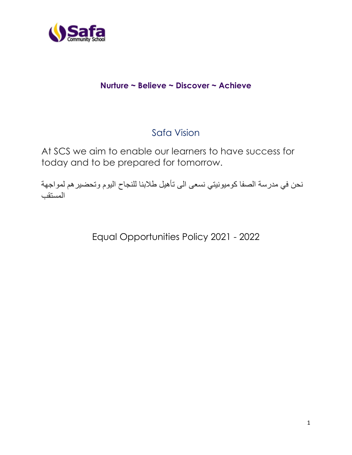

## **Nurture ~ Believe ~ Discover ~ Achieve**

# Safa Vision

At SCS we aim to enable our learners to have success for today and to be prepared for tomorrow.

نحن في مدرسة الصفا كوميونيتي نسعى الى تأهيل طالبنا للنجاح اليوم وتحضيرهم لمواجهة المستقب

Equal Opportunities Policy 2021 - 2022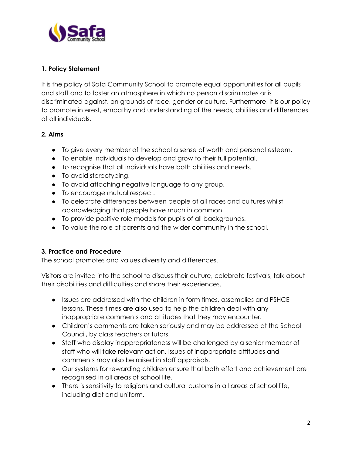

#### **1. Policy Statement**

It is the policy of Safa Community School to promote equal opportunities for all pupils and staff and to foster an atmosphere in which no person discriminates or is discriminated against, on grounds of race, gender or culture. Furthermore, it is our policy to promote interest, empathy and understanding of the needs, abilities and differences of all individuals.

#### **2. Aims**

- To give every member of the school a sense of worth and personal esteem.
- To enable individuals to develop and grow to their full potential.
- To recognise that all individuals have both abilities and needs.
- To avoid stereotyping.
- To avoid attaching negative language to any group.
- To encourage mutual respect.
- To celebrate differences between people of all races and cultures whilst acknowledging that people have much in common.
- To provide positive role models for pupils of all backgrounds.
- To value the role of parents and the wider community in the school.

#### **3. Practice and Procedure**

The school promotes and values diversity and differences.

Visitors are invited into the school to discuss their culture, celebrate festivals, talk about their disabilities and difficulties and share their experiences.

- Issues are addressed with the children in form times, assemblies and PSHCE lessons. These times are also used to help the children deal with any inappropriate comments and attitudes that they may encounter.
- Children's comments are taken seriously and may be addressed at the School Council, by class teachers or tutors.
- Staff who display inappropriateness will be challenged by a senior member of staff who will take relevant action. Issues of inappropriate attitudes and comments may also be raised in staff appraisals.
- Our systems for rewarding children ensure that both effort and achievement are recognised in all areas of school life.
- There is sensitivity to religions and cultural customs in all areas of school life, including diet and uniform.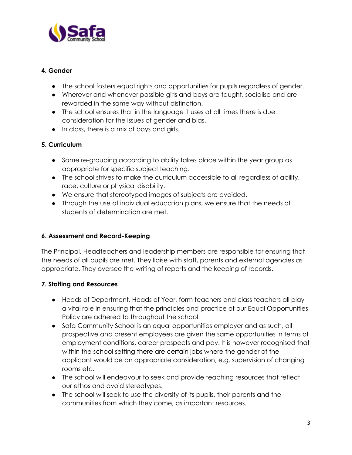

#### **4. Gender**

- The school fosters equal rights and opportunities for pupils regardless of gender.
- Wherever and whenever possible girls and boys are taught, socialise and are rewarded in the same way without distinction.
- The school ensures that in the language it uses at all times there is due consideration for the issues of gender and bias.
- In class, there is a mix of boys and girls.

#### **5. Curriculum**

- Some re-grouping according to ability takes place within the year group as appropriate for specific subject teaching.
- The school strives to make the curriculum accessible to all regardless of ability, race, culture or physical disability.
- We ensure that stereotyped images of subjects are avoided.
- Through the use of individual education plans, we ensure that the needs of students of determination are met.

#### **6. Assessment and Record-Keeping**

The Principal, Headteachers and leadership members are responsible for ensuring that the needs of all pupils are met. They liaise with staff, parents and external agencies as appropriate. They oversee the writing of reports and the keeping of records.

#### **7. Staffing and Resources**

- Heads of Department, Heads of Year, form teachers and class teachers all play a vital role in ensuring that the principles and practice of our Equal Opportunities Policy are adhered to throughout the school.
- Safa Community School is an equal opportunities employer and as such, all prospective and present employees are given the same opportunities in terms of employment conditions, career prospects and pay. It is however recognised that within the school setting there are certain jobs where the gender of the applicant would be an appropriate consideration, e.g. supervision of changing rooms etc.
- The school will endeavour to seek and provide teaching resources that reflect our ethos and avoid stereotypes.
- The school will seek to use the diversity of its pupils, their parents and the communities from which they come, as important resources.